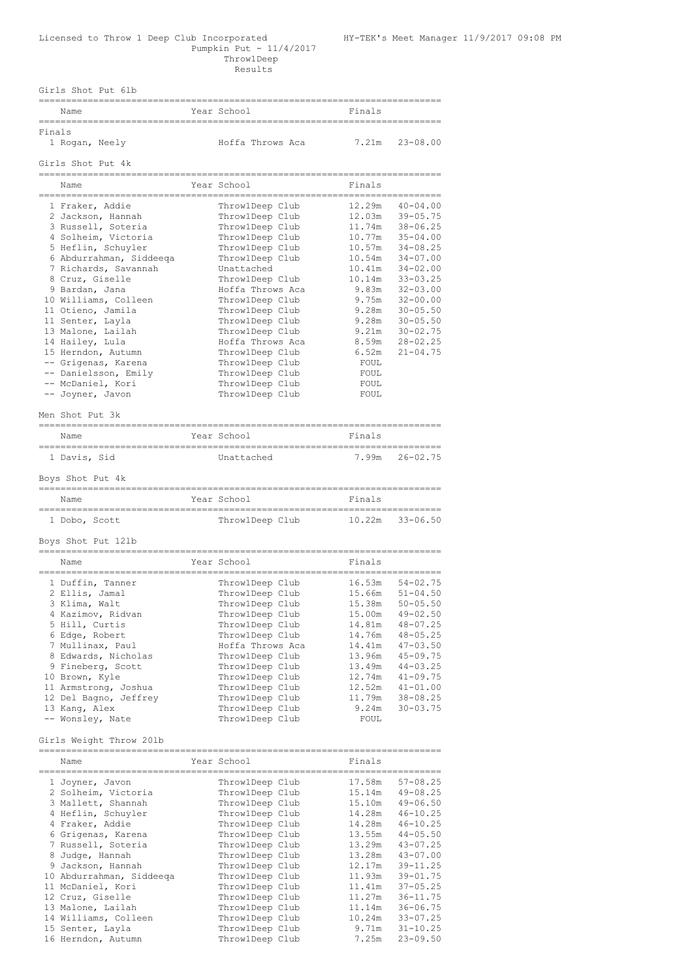### Licensed to Throw 1 Deep Club Incorporated HY-TEK's Meet Manager 11/9/2017 09:08 PM Pumpkin Put - 11/4/2017 Throw1Deep Results

Girls Shot Put 6lb

| Name                     | Year School      | Finals |                    |
|--------------------------|------------------|--------|--------------------|
| Finals<br>1 Rogan, Neely | Hoffa Throws Aca |        | $7.21m$ $23-08.00$ |

==========================================================================

Girls Shot Put 4k

| Name                    | Year School      | Finals |              |
|-------------------------|------------------|--------|--------------|
| 1 Fraker, Addie         | Throw1Deep Club  | 12.29m | $40 - 04.00$ |
| 2 Jackson, Hannah       | ThrowlDeep Club  | 12.03m | $39 - 05.75$ |
| 3 Russell, Soteria      | ThrowlDeep Club  | 11.74m | $38 - 06.25$ |
| 4 Solheim, Victoria     | ThrowlDeep Club  | 10.77m | $35 - 04.00$ |
| 5 Heflin, Schuyler      | ThrowlDeep Club  | 10.57m | $34 - 08.25$ |
| 6 Abdurrahman, Siddeeqa | ThrowlDeep Club  | 10.54m | $34 - 07.00$ |
| 7 Richards, Savannah    | Unattached       | 10.41m | $34 - 02.00$ |
| 8 Cruz, Giselle         | ThrowlDeep Club  | 10.14m | $33 - 03.25$ |
| 9 Bardan, Jana          | Hoffa Throws Aca | 9.83m  | $32 - 03.00$ |
| 10 Williams, Colleen    | ThrowlDeep Club  | 9.75m  | $32 - 00.00$ |
| 11 Otieno, Jamila       | ThrowlDeep Club  | 9.28m  | $30 - 05.50$ |
| 11 Senter, Layla        | ThrowlDeep Club  | 9.28m  | $30 - 05.50$ |
| 13 Malone, Lailah       | ThrowlDeep Club  | 9.21m  | $30 - 02.75$ |
| 14 Hailey, Lula         | Hoffa Throws Aca | 8.59m  | $28 - 02.25$ |
| 15 Herndon, Autumn      | ThrowlDeep Club  | 6.52m  | $21 - 04.75$ |
| -- Grigenas, Karena     | ThrowlDeep Club  | FOUL   |              |
| -- Danielsson, Emily    | ThrowlDeep Club  | FOUL   |              |
| -- McDaniel, Kori       | ThrowlDeep Club  | FOUL   |              |
| -- Joyner, Javon        | Throw1Deep Club  | FOUL   |              |
|                         |                  |        |              |

## Men Shot Put 3k

|      |                | __ |
|------|----------------|----|
| Name | Year<br>◡<br>ຼ |    |
|      |                | __ |

| 1 Davis, Sid | Unattached | 7.99m 26-02.75 |
|--------------|------------|----------------|
|              |            |                |

# Boys Shot Put 4k

| Name          | Year School     | Finals              |
|---------------|-----------------|---------------------|
| 1 Dobo, Scott | ThrowlDeep Club | $10.22m$ $33-06.50$ |

## Boys Shot Put 12lb

| Name                  | Year School      | Finals |              |
|-----------------------|------------------|--------|--------------|
| 1 Duffin, Tanner      | ThrowlDeep Club  | 16.53m | $54 - 02.75$ |
| 2 Ellis, Jamal        | ThrowlDeep Club  | 15.66m | $51 - 04.50$ |
| 3 Klima, Walt         | ThrowlDeep Club  | 15.38m | $50 - 05.50$ |
| 4 Kazimov, Ridvan     | ThrowlDeep Club  | 15.00m | $49 - 02.50$ |
| 5 Hill, Curtis        | ThrowlDeep Club  | 14.81m | $48 - 07.25$ |
| 6 Edge, Robert        | ThrowlDeep Club  | 14.76m | $48 - 05.25$ |
| 7 Mullinax, Paul      | Hoffa Throws Aca | 14.41m | $47 - 03.50$ |
| 8 Edwards, Nicholas   | ThrowlDeep Club  | 13.96m | $45 - 09.75$ |
| 9 Fineberg, Scott     | ThrowlDeep Club  | 13.49m | $44 - 03.25$ |
| 10 Brown, Kyle        | ThrowlDeep Club  | 12.74m | $41 - 09.75$ |
| 11 Armstrong, Joshua  | ThrowlDeep Club  | 12.52m | $41 - 01.00$ |
| 12 Del Bagno, Jeffrey | ThrowlDeep Club  | 11.79m | $38 - 08.25$ |
| 13 Kang, Alex         | ThrowlDeep Club  | 9.24m  | $30 - 03.75$ |
| -- Wonsley, Nate      | Throw1Deep Club  | FOUL   |              |
|                       |                  |        |              |

| Name<br>========================= | Year School     | Finals |              |
|-----------------------------------|-----------------|--------|--------------|
| 1 Joyner, Javon                   | Throw1Deep Club | 17.58m | $57 - 08.25$ |
| 2 Solheim, Victoria               | ThrowlDeep Club | 15.14m | $49 - 08.25$ |
| 3 Mallett, Shannah                | ThrowlDeep Club | 15.10m | $49 - 06.50$ |
| 4 Heflin, Schuyler                | ThrowlDeep Club | 14.28m | $46 - 10.25$ |
| 4 Fraker, Addie                   | ThrowlDeep Club | 14.28m | $46 - 10.25$ |
| 6 Grigenas, Karena                | ThrowlDeep Club | 13.55m | $44 - 05.50$ |
| 7 Russell, Soteria                | ThrowlDeep Club | 13.29m | $43 - 07.25$ |
| 8 Judge, Hannah                   | ThrowlDeep Club | 13.28m | $43 - 07.00$ |
| 9 Jackson, Hannah                 | ThrowlDeep Club | 12.17m | $39 - 11.25$ |
| 10 Abdurrahman, Siddeega          | ThrowlDeep Club | 11.93m | $39 - 01.75$ |
| 11 McDaniel, Kori                 | ThrowlDeep Club | 11.41m | $37 - 05.25$ |
| 12 Cruz, Giselle                  | Throw1Deep Club | 11.27m | $36 - 11.75$ |
| 13 Malone, Lailah                 | ThrowlDeep Club | 11.14m | $36 - 06.75$ |
| 14 Williams, Colleen              | ThrowlDeep Club | 10.24m | $33 - 07.25$ |
| 15 Senter, Layla                  | ThrowlDeep Club | 9.71m  | $31 - 10.25$ |
| 16 Herndon, Autumn                | ThrowlDeep Club | 7.25m  | $23 - 09.50$ |